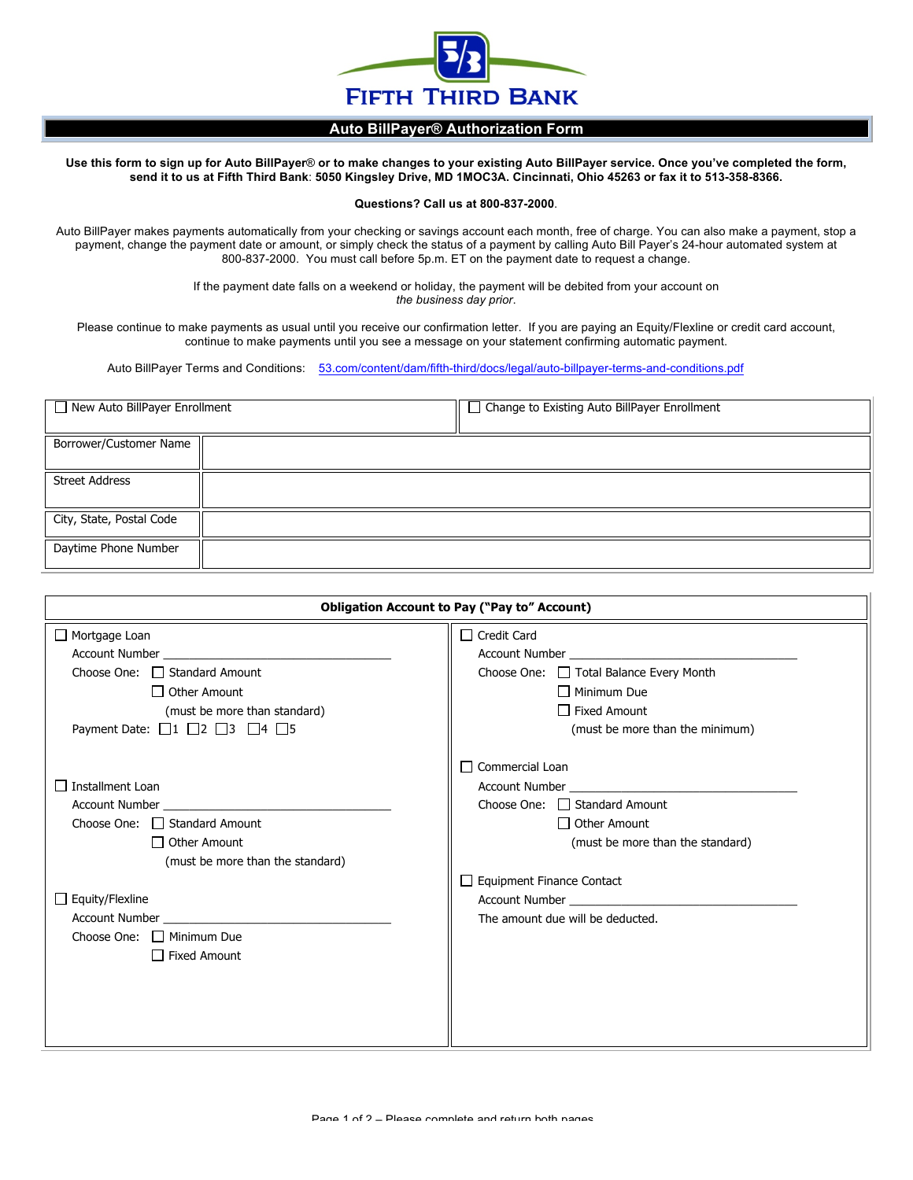

## **Auto BillPayer® Authorization Form**

**Use this form to sign up for Auto BillPayer**® **or to make changes to your existing Auto BillPayer service. Once you've completed the form, send it to us at Fifth Third Bank**: **5050 Kingsley Drive, MD 1MOC3A. Cincinnati, Ohio 45263 or fax it to 513-358-8366.**

## **Questions? Call us at 800-837-2000**.

Auto BillPayer makes payments automatically from your checking or savings account each month, free of charge. You can also make a payment, stop a payment, change the payment date or amount, or simply check the status of a payment by calling Auto Bill Payer's 24-hour automated system at 800-837-2000. You must call before 5p.m. ET on the payment date to request a change.

> If the payment date falls on a weekend or holiday, the payment will be debited from your account on *the business day prior*.

Please continue to make payments as usual until you receive our confirmation letter. If you are paying an Equity/Flexline or credit card account, continue to make payments until you see a message on your statement confirming automatic payment.

Auto BillPayer Terms and Conditions: 53.com/content/dam/fifth-third/docs/legal/auto-billpayer-terms-and-conditions.pdf

| $\Box$ New Auto BillPayer Enrollment |  | $\Box$ Change to Existing Auto BillPayer Enrollment |
|--------------------------------------|--|-----------------------------------------------------|
| Borrower/Customer Name               |  |                                                     |
| <b>Street Address</b>                |  |                                                     |
| City, State, Postal Code             |  |                                                     |
| Daytime Phone Number                 |  |                                                     |

| <b>Obligation Account to Pay ("Pay to" Account)</b>                                                                                                                                                                            |                                                                                                                                                                                                                                |  |  |
|--------------------------------------------------------------------------------------------------------------------------------------------------------------------------------------------------------------------------------|--------------------------------------------------------------------------------------------------------------------------------------------------------------------------------------------------------------------------------|--|--|
| Mortgage Loan                                                                                                                                                                                                                  | $\Box$ Credit Card                                                                                                                                                                                                             |  |  |
|                                                                                                                                                                                                                                |                                                                                                                                                                                                                                |  |  |
| Choose One: $\Box$ Standard Amount                                                                                                                                                                                             | Choose One: $\Box$ Total Balance Every Month                                                                                                                                                                                   |  |  |
| $\Box$ Other Amount                                                                                                                                                                                                            | $\Box$ Minimum Due                                                                                                                                                                                                             |  |  |
| (must be more than standard)                                                                                                                                                                                                   | $\Box$ Fixed Amount                                                                                                                                                                                                            |  |  |
| Payment Date: $\Box 1$ $\Box 2$ $\Box 3$ $\Box 4$ $\Box 5$                                                                                                                                                                     | (must be more than the minimum)                                                                                                                                                                                                |  |  |
|                                                                                                                                                                                                                                | $\Box$ Commercial Loan                                                                                                                                                                                                         |  |  |
| Installment Loan                                                                                                                                                                                                               | Account Number and the state of the state of the state of the state of the state of the state of the state of the state of the state of the state of the state of the state of the state of the state of the state of the stat |  |  |
| Account Number and the state of the state of the state of the state of the state of the state of the state of the state of the state of the state of the state of the state of the state of the state of the state of the stat | Choose One: $\Box$ Standard Amount                                                                                                                                                                                             |  |  |
| Choose One: $\Box$ Standard Amount                                                                                                                                                                                             | □ Other Amount                                                                                                                                                                                                                 |  |  |
| $\Box$ Other Amount                                                                                                                                                                                                            | (must be more than the standard)                                                                                                                                                                                               |  |  |
| (must be more than the standard)                                                                                                                                                                                               |                                                                                                                                                                                                                                |  |  |
|                                                                                                                                                                                                                                | $\Box$ Equipment Finance Contact                                                                                                                                                                                               |  |  |
| $\Box$ Equity/Flexline                                                                                                                                                                                                         |                                                                                                                                                                                                                                |  |  |
| Account Number <b>Exercise Services</b>                                                                                                                                                                                        | The amount due will be deducted.                                                                                                                                                                                               |  |  |
| Choose One: $\Box$ Minimum Due                                                                                                                                                                                                 |                                                                                                                                                                                                                                |  |  |
| $\Box$ Fixed Amount                                                                                                                                                                                                            |                                                                                                                                                                                                                                |  |  |
|                                                                                                                                                                                                                                |                                                                                                                                                                                                                                |  |  |
|                                                                                                                                                                                                                                |                                                                                                                                                                                                                                |  |  |
|                                                                                                                                                                                                                                |                                                                                                                                                                                                                                |  |  |
|                                                                                                                                                                                                                                |                                                                                                                                                                                                                                |  |  |
|                                                                                                                                                                                                                                |                                                                                                                                                                                                                                |  |  |